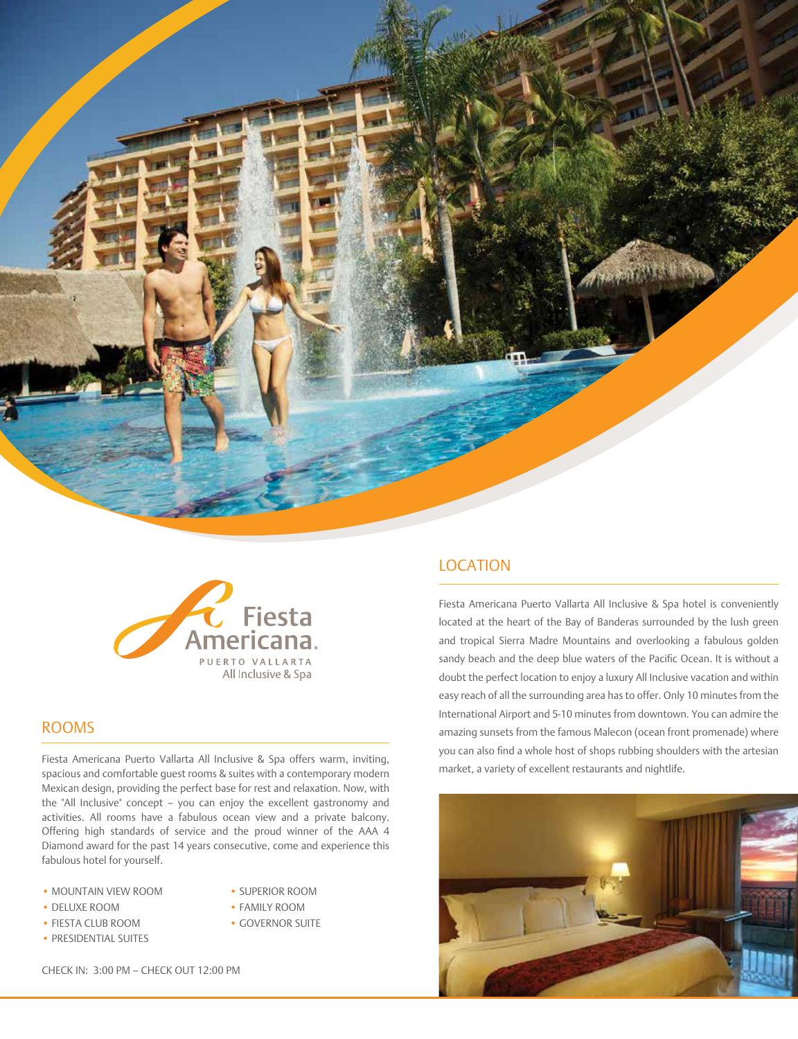



### ROOMS

Fiesta Americana Puerto Vallarta All Inclusive & Spa offers warm, inviting, spacious and comfortable guest rooms & suites with a contemporary modern Mexican design, providing the perfect base for rest and relaxation. Now, with the "All Inclusive" concept – you can enjoy the excellent gastronomy and activities. All rooms have a fabulous ocean view and a private balcony. Offering high standards of service and the proud winner of the AAA 4 Diamond award for the past 14 years consecutive, come and experience this fabulous hotel for yourself.

- MOUNTAIN VIEW ROOM SUPERIOR ROOM
	-
- 
- PRESIDENTIAL SUITES
- DELUXE ROOM FAMILY ROOM
- FIESTA CLUB ROOM GOVERNOR SUITE

CHECK IN: 3:00 PM – CHECK OUT 12:00 PM

# LOCATION

Fiesta Americana Puerto Vallarta All Inclusive & Spa hotel is conveniently located at the heart of the Bay of Banderas surrounded by the lush green and tropical Sierra Madre Mountains and overlooking a fabulous golden sandy beach and the deep blue waters of the Pacific Ocean. It is without a doubt the perfect location to enjoy a luxury All Inclusive vacation and within easy reach of all the surrounding area has to offer. Only 10 minutes from the International Airport and 5-10 minutes from downtown. You can admire the amazing sunsets from the famous Malecon (ocean front promenade) where you can also find a whole host of shops rubbing shoulders with the artesian market, a variety of excellent restaurants and nightlife.